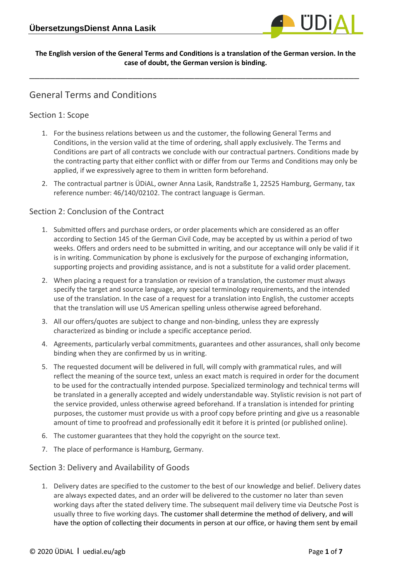

#### **The English version of the General Terms and Conditions is a translation of the German version. In the case of doubt, the German version is binding.**

\_\_\_\_\_\_\_\_\_\_\_\_\_\_\_\_\_\_\_\_\_\_\_\_\_\_\_\_\_\_\_\_\_\_\_\_\_\_\_\_\_\_\_\_\_\_\_\_\_\_\_\_\_\_\_\_\_\_\_\_\_\_\_\_

# General Terms and Conditions

### Section 1: Scope

- 1. For the business relations between us and the customer, the following General Terms and Conditions, in the version valid at the time of ordering, shall apply exclusively. The Terms and Conditions are part of all contracts we conclude with our contractual partners. Conditions made by the contracting party that either conflict with or differ from our Terms and Conditions may only be applied, if we expressively agree to them in written form beforehand.
- 2. The contractual partner is ÜDiAL, owner Anna Lasik, Randstraße 1, 22525 Hamburg, Germany, tax reference number: 46/140/02102. The contract language is German.

#### Section 2: Conclusion of the Contract

- 1. Submitted offers and purchase orders, or order placements which are considered as an offer according to Section 145 of the German Civil Code, may be accepted by us within a period of two weeks. Offers and orders need to be submitted in writing, and our acceptance will only be valid if it is in writing. Communication by phone is exclusively for the purpose of exchanging information, supporting projects and providing assistance, and is not a substitute for a valid order placement.
- 2. When placing a request for a translation or revision of a translation, the customer must always specify the target and source language, any special terminology requirements, and the intended use of the translation. In the case of a request for a translation into English, the customer accepts that the translation will use US American spelling unless otherwise agreed beforehand.
- 3. All our offers/quotes are subject to change and non-binding, unless they are expressly characterized as binding or include a specific acceptance period.
- 4. Agreements, particularly verbal commitments, guarantees and other assurances, shall only become binding when they are confirmed by us in writing.
- 5. The requested document will be delivered in full, will comply with grammatical rules, and will reflect the meaning of the source text, unless an exact match is required in order for the document to be used for the contractually intended purpose. Specialized terminology and technical terms will be translated in a generally accepted and widely understandable way. Stylistic revision is not part of the service provided, unless otherwise agreed beforehand. If a translation is intended for printing purposes, the customer must provide us with a proof copy before printing and give us a reasonable amount of time to proofread and professionally edit it before it is printed (or published online).
- 6. The customer guarantees that they hold the copyright on the source text.
- 7. The place of performance is Hamburg, Germany.

#### Section 3: Delivery and Availability of Goods

1. Delivery dates are specified to the customer to the best of our knowledge and belief. Delivery dates are always expected dates, and an order will be delivered to the customer no later than seven working days after the stated delivery time. The subsequent mail delivery time via Deutsche Post is usually three to five working days. The customer shall determine the method of delivery, and will have the option of collecting their documents in person at our office, or having them sent by email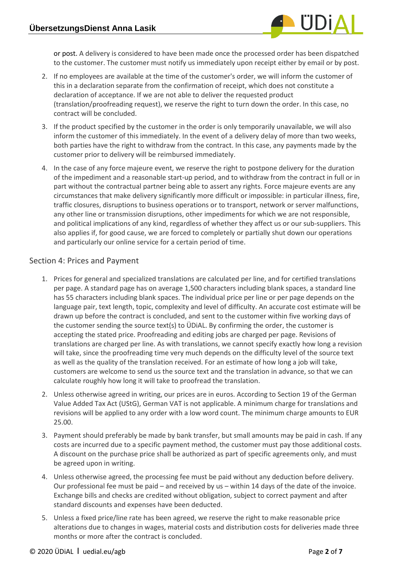

or post. A delivery is considered to have been made once the processed order has been dispatched to the customer. The customer must notify us immediately upon receipt either by email or by post.

- 2. If no employees are available at the time of the customer's order, we will inform the customer of this in a declaration separate from the confirmation of receipt, which does not constitute a declaration of acceptance. If we are not able to deliver the requested product (translation/proofreading request), we reserve the right to turn down the order. In this case, no contract will be concluded.
- 3. If the product specified by the customer in the order is only temporarily unavailable, we will also inform the customer of this immediately. In the event of a delivery delay of more than two weeks, both parties have the right to withdraw from the contract. In this case, any payments made by the customer prior to delivery will be reimbursed immediately.
- 4. In the case of any force majeure event, we reserve the right to postpone delivery for the duration of the impediment and a reasonable start-up period, and to withdraw from the contract in full or in part without the contractual partner being able to assert any rights. Force majeure events are any circumstances that make delivery significantly more difficult or impossible: in particular illness, fire, traffic closures, disruptions to business operations or to transport, network or server malfunctions, any other line or transmission disruptions, other impediments for which we are not responsible, and political implications of any kind, regardless of whether they affect us or our sub-suppliers. This also applies if, for good cause, we are forced to completely or partially shut down our operations and particularly our online service for a certain period of time.

## Section 4: Prices and Payment

- 1. Prices for general and specialized translations are calculated per line, and for certified translations per page. A standard page has on average 1,500 characters including blank spaces, a standard line has 55 characters including blank spaces. The individual price per line or per page depends on the language pair, text length, topic, complexity and level of difficulty. An accurate cost estimate will be drawn up before the contract is concluded, and sent to the customer within five working days of the customer sending the source text(s) to ÜDiAL. By confirming the order, the customer is accepting the stated price. Proofreading and editing jobs are charged per page. Revisions of translations are charged per line. As with translations, we cannot specify exactly how long a revision will take, since the proofreading time very much depends on the difficulty level of the source text as well as the quality of the translation received. For an estimate of how long a job will take, customers are welcome to send us the source text and the translation in advance, so that we can calculate roughly how long it will take to proofread the translation.
- 2. Unless otherwise agreed in writing, our prices are in euros. According to Section 19 of the German Value Added Tax Act (UStG), German VAT is not applicable. A minimum charge for translations and revisions will be applied to any order with a low word count. The minimum charge amounts to EUR 25.00.
- 3. Payment should preferably be made by bank transfer, but small amounts may be paid in cash. If any costs are incurred due to a specific payment method, the customer must pay those additional costs. A discount on the purchase price shall be authorized as part of specific agreements only, and must be agreed upon in writing.
- 4. Unless otherwise agreed, the processing fee must be paid without any deduction before delivery. Our professional fee must be paid – and received by us – within 14 days of the date of the invoice. Exchange bills and checks are credited without obligation, subject to correct payment and after standard discounts and expenses have been deducted.
- 5. Unless a fixed price/line rate has been agreed, we reserve the right to make reasonable price alterations due to changes in wages, material costs and distribution costs for deliveries made three months or more after the contract is concluded.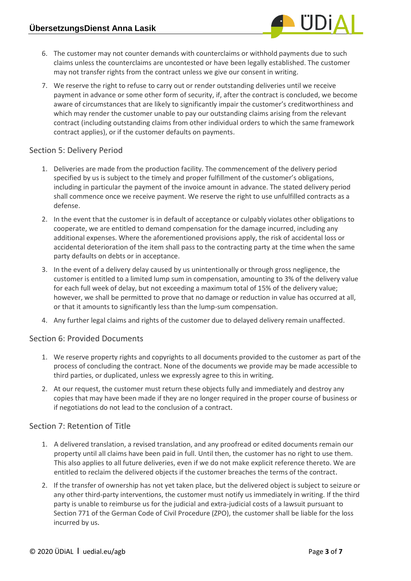- 6. The customer may not counter demands with counterclaims or withhold payments due to such claims unless the counterclaims are uncontested or have been legally established. The customer may not transfer rights from the contract unless we give our consent in writing.
- 7. We reserve the right to refuse to carry out or render outstanding deliveries until we receive payment in advance or some other form of security, if, after the contract is concluded, we become aware of circumstances that are likely to significantly impair the customer's creditworthiness and which may render the customer unable to pay our outstanding claims arising from the relevant contract (including outstanding claims from other individual orders to which the same framework contract applies), or if the customer defaults on payments.

### Section 5: Delivery Period

- 1. Deliveries are made from the production facility. The commencement of the delivery period specified by us is subject to the timely and proper fulfillment of the customer's obligations, including in particular the payment of the invoice amount in advance. The stated delivery period shall commence once we receive payment. We reserve the right to use unfulfilled contracts as a defense.
- 2. In the event that the customer is in default of acceptance or culpably violates other obligations to cooperate, we are entitled to demand compensation for the damage incurred, including any additional expenses. Where the aforementioned provisions apply, the risk of accidental loss or accidental deterioration of the item shall pass to the contracting party at the time when the same party defaults on debts or in acceptance.
- 3. In the event of a delivery delay caused by us unintentionally or through gross negligence, the customer is entitled to a limited lump sum in compensation, amounting to 3% of the delivery value for each full week of delay, but not exceeding a maximum total of 15% of the delivery value; however, we shall be permitted to prove that no damage or reduction in value has occurred at all, or that it amounts to significantly less than the lump-sum compensation.
- 4. Any further legal claims and rights of the customer due to delayed delivery remain unaffected.

#### Section 6: Provided Documents

- 1. We reserve property rights and copyrights to all documents provided to the customer as part of the process of concluding the contract. None of the documents we provide may be made accessible to third parties, or duplicated, unless we expressly agree to this in writing.
- 2. At our request, the customer must return these objects fully and immediately and destroy any copies that may have been made if they are no longer required in the proper course of business or if negotiations do not lead to the conclusion of a contract.

#### Section 7: Retention of Title

- 1. A delivered translation, a revised translation, and any proofread or edited documents remain our property until all claims have been paid in full. Until then, the customer has no right to use them. This also applies to all future deliveries, even if we do not make explicit reference thereto. We are entitled to reclaim the delivered objects if the customer breaches the terms of the contract.
- 2. If the transfer of ownership has not yet taken place, but the delivered object is subject to seizure or any other third-party interventions, the customer must notify us immediately in writing. If the third party is unable to reimburse us for the judicial and extra-judicial costs of a lawsuit pursuant to Section 771 of the German Code of Civil Procedure (ZPO), the customer shall be liable for the loss incurred by us.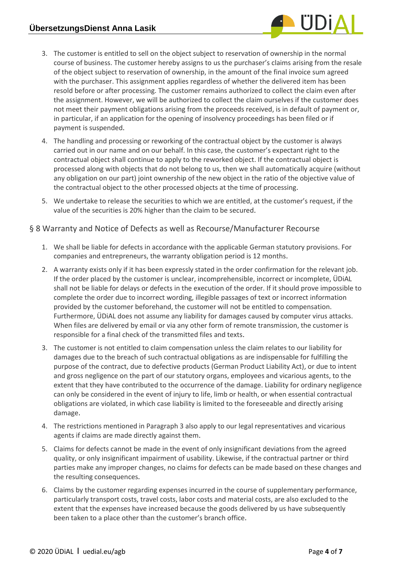

- 3. The customer is entitled to sell on the object subject to reservation of ownership in the normal course of business. The customer hereby assigns to us the purchaser's claims arising from the resale of the object subject to reservation of ownership, in the amount of the final invoice sum agreed with the purchaser. This assignment applies regardless of whether the delivered item has been resold before or after processing. The customer remains authorized to collect the claim even after the assignment. However, we will be authorized to collect the claim ourselves if the customer does not meet their payment obligations arising from the proceeds received, is in default of payment or, in particular, if an application for the opening of insolvency proceedings has been filed or if payment is suspended.
- 4. The handling and processing or reworking of the contractual object by the customer is always carried out in our name and on our behalf. In this case, the customer's expectant right to the contractual object shall continue to apply to the reworked object. If the contractual object is processed along with objects that do not belong to us, then we shall automatically acquire (without any obligation on our part) joint ownership of the new object in the ratio of the objective value of the contractual object to the other processed objects at the time of processing.
- 5. We undertake to release the securities to which we are entitled, at the customer's request, if the value of the securities is 20% higher than the claim to be secured.

#### § 8 Warranty and Notice of Defects as well as Recourse/Manufacturer Recourse

- 1. We shall be liable for defects in accordance with the applicable German statutory provisions. For companies and entrepreneurs, the warranty obligation period is 12 months.
- 2. A warranty exists only if it has been expressly stated in the order confirmation for the relevant job. If the order placed by the customer is unclear, incomprehensible, incorrect or incomplete, ÜDiAL shall not be liable for delays or defects in the execution of the order. If it should prove impossible to complete the order due to incorrect wording, illegible passages of text or incorrect information provided by the customer beforehand, the customer will not be entitled to compensation. Furthermore, ÜDiAL does not assume any liability for damages caused by computer virus attacks. When files are delivered by email or via any other form of remote transmission, the customer is responsible for a final check of the transmitted files and texts.
- 3. The customer is not entitled to claim compensation unless the claim relates to our liability for damages due to the breach of such contractual obligations as are indispensable for fulfilling the purpose of the contract, due to defective products (German Product Liability Act), or due to intent and gross negligence on the part of our statutory organs, employees and vicarious agents, to the extent that they have contributed to the occurrence of the damage. Liability for ordinary negligence can only be considered in the event of injury to life, limb or health, or when essential contractual obligations are violated, in which case liability is limited to the foreseeable and directly arising damage.
- 4. The restrictions mentioned in Paragraph 3 also apply to our legal representatives and vicarious agents if claims are made directly against them.
- 5. Claims for defects cannot be made in the event of only insignificant deviations from the agreed quality, or only insignificant impairment of usability. Likewise, if the contractual partner or third parties make any improper changes, no claims for defects can be made based on these changes and the resulting consequences.
- 6. Claims by the customer regarding expenses incurred in the course of supplementary performance, particularly transport costs, travel costs, labor costs and material costs, are also excluded to the extent that the expenses have increased because the goods delivered by us have subsequently been taken to a place other than the customer's branch office.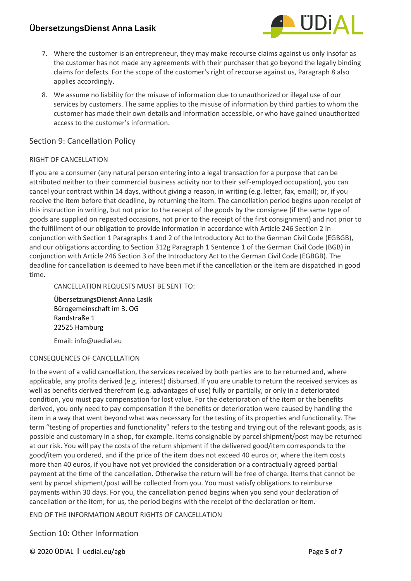

8. We assume no liability for the misuse of information due to unauthorized or illegal use of our services by customers. The same applies to the misuse of information by third parties to whom the customer has made their own details and information accessible, or who have gained unauthorized access to the customer's information.

#### Section 9: Cancellation Policy

#### RIGHT OF CANCELLATION

If you are a consumer (any natural person entering into a legal transaction for a purpose that can be attributed neither to their commercial business activity nor to their self-employed occupation), you can cancel your contract within 14 days, without giving a reason, in writing (e.g. letter, fax, email); or, if you receive the item before that deadline, by returning the item. The cancellation period begins upon receipt of this instruction in writing, but not prior to the receipt of the goods by the consignee (if the same type of goods are supplied on repeated occasions, not prior to the receipt of the first consignment) and not prior to the fulfillment of our obligation to provide information in accordance with Article 246 Section 2 in conjunction with Section 1 Paragraphs 1 and 2 of the Introductory Act to the German Civil Code (EGBGB), and our obligations according to Section 312g Paragraph 1 Sentence 1 of the German Civil Code (BGB) in conjunction with Article 246 Section 3 of the Introductory Act to the German Civil Code (EGBGB). The deadline for cancellation is deemed to have been met if the cancellation or the item are dispatched in good time.

CANCELLATION REQUESTS MUST BE SENT TO:

**ÜbersetzungsDienst Anna Lasik** Bürogemeinschaft im 3. OG Randstraße 1 22525 Hamburg

Email: info@uedial.eu

#### CONSEQUENCES OF CANCELLATION

In the event of a valid cancellation, the services received by both parties are to be returned and, where applicable, any profits derived (e.g. interest) disbursed. If you are unable to return the received services as well as benefits derived therefrom (e.g. advantages of use) fully or partially, or only in a deteriorated condition, you must pay compensation for lost value. For the deterioration of the item or the benefits derived, you only need to pay compensation if the benefits or deterioration were caused by handling the item in a way that went beyond what was necessary for the testing of its properties and functionality. The term "testing of properties and functionality" refers to the testing and trying out of the relevant goods, as is possible and customary in a shop, for example. Items consignable by parcel shipment/post may be returned at our risk. You will pay the costs of the return shipment if the delivered good/item corresponds to the good/item you ordered, and if the price of the item does not exceed 40 euros or, where the item costs more than 40 euros, if you have not yet provided the consideration or a contractually agreed partial payment at the time of the cancellation. Otherwise the return will be free of charge. Items that cannot be sent by parcel shipment/post will be collected from you. You must satisfy obligations to reimburse payments within 30 days. For you, the cancellation period begins when you send your declaration of cancellation or the item; for us, the period begins with the receipt of the declaration or item.

END OF THE INFORMATION ABOUT RIGHTS OF CANCELLATION

Section 10: Other Information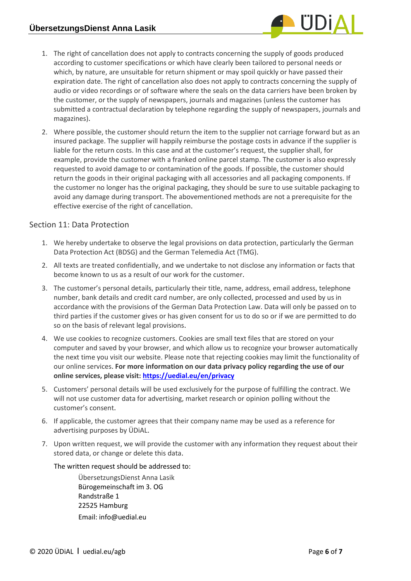

- 1. The right of cancellation does not apply to contracts concerning the supply of goods produced according to customer specifications or which have clearly been tailored to personal needs or which, by nature, are unsuitable for return shipment or may spoil quickly or have passed their expiration date. The right of cancellation also does not apply to contracts concerning the supply of audio or video recordings or of software where the seals on the data carriers have been broken by the customer, or the supply of newspapers, journals and magazines (unless the customer has submitted a contractual declaration by telephone regarding the supply of newspapers, journals and magazines).
- 2. Where possible, the customer should return the item to the supplier not carriage forward but as an insured package. The supplier will happily reimburse the postage costs in advance if the supplier is liable for the return costs. In this case and at the customer's request, the supplier shall, for example, provide the customer with a franked online parcel stamp. The customer is also expressly requested to avoid damage to or contamination of the goods. If possible, the customer should return the goods in their original packaging with all accessories and all packaging components. If the customer no longer has the original packaging, they should be sure to use suitable packaging to avoid any damage during transport. The abovementioned methods are not a prerequisite for the effective exercise of the right of cancellation.

# Section 11: Data Protection

- 1. We hereby undertake to observe the legal provisions on data protection, particularly the German Data Protection Act (BDSG) and the German Telemedia Act (TMG).
- 2. All texts are treated confidentially, and we undertake to not disclose any information or facts that become known to us as a result of our work for the customer.
- 3. The customer's personal details, particularly their title, name, address, email address, telephone number, bank details and credit card number, are only collected, processed and used by us in accordance with the provisions of the German Data Protection Law. Data will only be passed on to third parties if the customer gives or has given consent for us to do so or if we are permitted to do so on the basis of relevant legal provisions.
- 4. We use cookies to recognize customers. Cookies are small text files that are stored on your computer and saved by your browser, and which allow us to recognize your browser automatically the next time you visit our website. Please note that rejecting cookies may limit the functionality of our online services. **For more information on our data privacy policy regarding the use of our online services, please visit: <https://uedial.eu/en/privacy>**
- 5. Customers' personal details will be used exclusively for the purpose of fulfilling the contract. We will not use customer data for advertising, market research or opinion polling without the customer's consent.
- 6. If applicable, the customer agrees that their company name may be used as a reference for advertising purposes by ÜDiAL.
- 7. Upon written request, we will provide the customer with any information they request about their stored data, or change or delete this data.

#### The written request should be addressed to:

ÜbersetzungsDienst Anna Lasik Bürogemeinschaft im 3. OG Randstraße 1 22525 Hamburg Email: info@uedial.eu